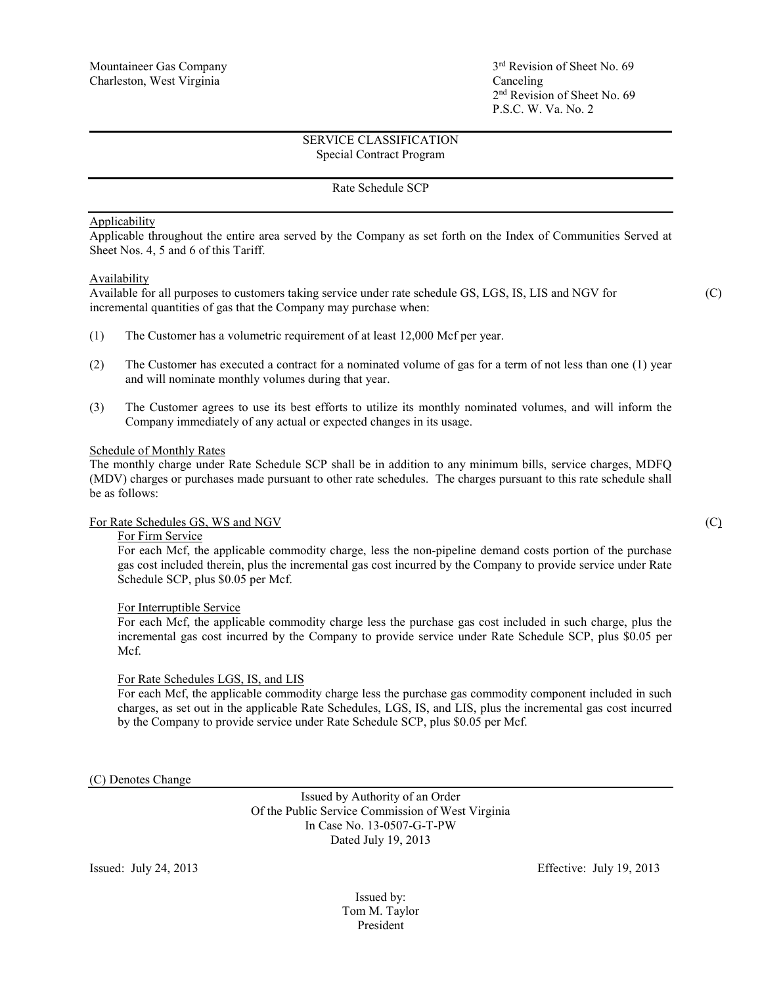2nd Revision of Sheet No. 69 P.S.C. W. Va. No. 2

# SERVICE CLASSIFICATION Special Contract Program

### Rate Schedule SCP

## Applicability

Applicable throughout the entire area served by the Company as set forth on the Index of Communities Served at Sheet Nos. 4, 5 and 6 of this Tariff.

#### Availability

Available for all purposes to customers taking service under rate schedule GS, LGS, IS, LIS and NGV for (C) incremental quantities of gas that the Company may purchase when:

- (1) The Customer has a volumetric requirement of at least 12,000 Mcf per year.
- (2) The Customer has executed a contract for a nominated volume of gas for a term of not less than one (1) year and will nominate monthly volumes during that year.
- (3) The Customer agrees to use its best efforts to utilize its monthly nominated volumes, and will inform the Company immediately of any actual or expected changes in its usage.

## Schedule of Monthly Rates

The monthly charge under Rate Schedule SCP shall be in addition to any minimum bills, service charges, MDFQ (MDV) charges or purchases made pursuant to other rate schedules. The charges pursuant to this rate schedule shall be as follows:

## For Rate Schedules GS, WS and NGV (C) (C)

# For Firm Service

For each Mcf, the applicable commodity charge, less the non-pipeline demand costs portion of the purchase gas cost included therein, plus the incremental gas cost incurred by the Company to provide service under Rate Schedule SCP, plus \$0.05 per Mcf.

#### For Interruptible Service

For each Mcf, the applicable commodity charge less the purchase gas cost included in such charge, plus the incremental gas cost incurred by the Company to provide service under Rate Schedule SCP, plus \$0.05 per Mcf.

#### For Rate Schedules LGS, IS, and LIS

For each Mcf, the applicable commodity charge less the purchase gas commodity component included in such charges, as set out in the applicable Rate Schedules, LGS, IS, and LIS, plus the incremental gas cost incurred by the Company to provide service under Rate Schedule SCP, plus \$0.05 per Mcf.

(C) Denotes Change

Issued by Authority of an Order Of the Public Service Commission of West Virginia In Case No. 13-0507-G-T-PW Dated July 19, 2013

Issued: July 24, 2013 Effective: July 19, 2013

Issued by: Tom M. Taylor President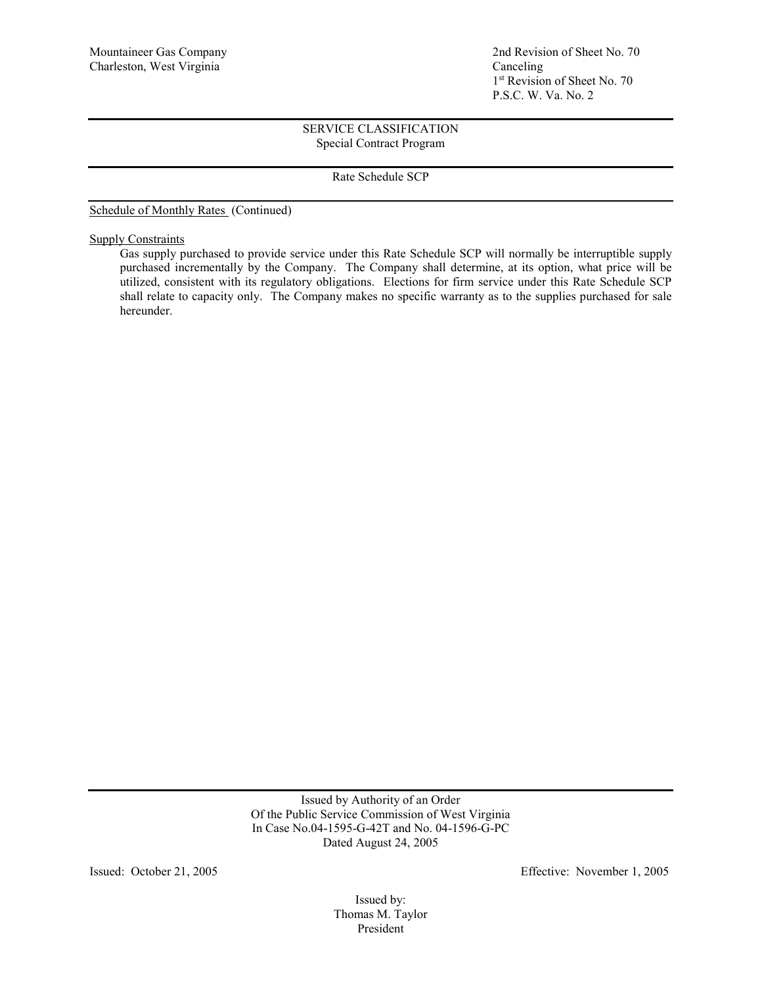Mountaineer Gas Company 2nd Revision of Sheet No. 70 1st Revision of Sheet No. 70 P.S.C. W. Va. No. 2

# SERVICE CLASSIFICATION Special Contract Program

Rate Schedule SCP

Schedule of Monthly Rates (Continued)

**Supply Constraints** 

Gas supply purchased to provide service under this Rate Schedule SCP will normally be interruptible supply purchased incrementally by the Company. The Company shall determine, at its option, what price will be utilized, consistent with its regulatory obligations. Elections for firm service under this Rate Schedule SCP shall relate to capacity only. The Company makes no specific warranty as to the supplies purchased for sale hereunder.

> Issued by Authority of an Order Of the Public Service Commission of West Virginia In Case No.04-1595-G-42T and No. 04-1596-G-PC Dated August 24, 2005

Issued: October 21, 2005 Effective: November 1, 2005

Issued by: Thomas M. Taylor President